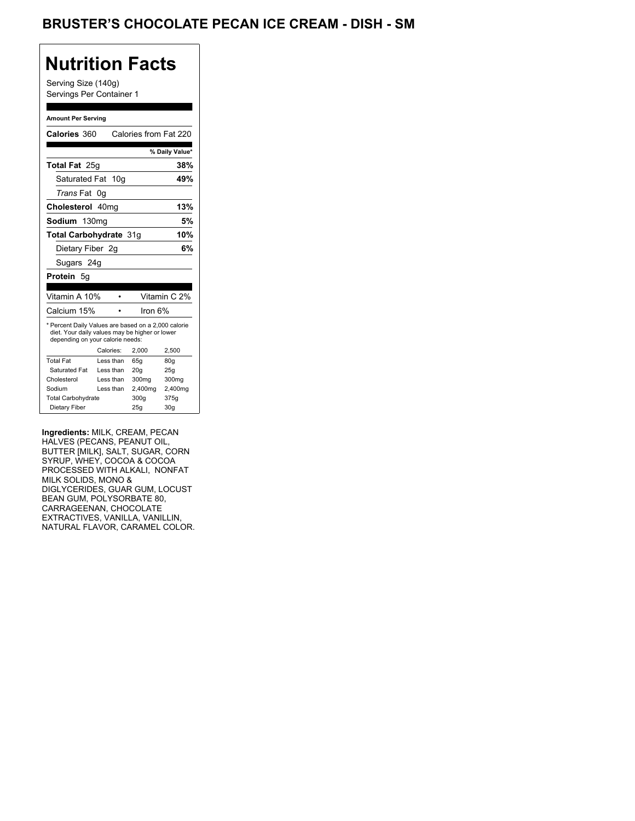## BRUSTER'S CHOCOLATE PECAN ICE CREAM - DISH - SM

## **Nutrition Facts**

Serving Size (140g) Servings Per Container 1

#### **Amount Per Serving**

| Calories 360                                                                                                                              |    |           | Calories from Fat 220 |                 |
|-------------------------------------------------------------------------------------------------------------------------------------------|----|-----------|-----------------------|-----------------|
|                                                                                                                                           |    |           |                       | % Daily Value*  |
| <b>Total Fat</b> 25g                                                                                                                      |    |           |                       | 38%             |
| Saturated Fat 10g                                                                                                                         |    |           |                       | 49%             |
| <i>Trans</i> Fat                                                                                                                          | 0q |           |                       |                 |
| Cholesterol 40mg                                                                                                                          |    |           |                       | 13%             |
| Sodium 130ma                                                                                                                              |    |           |                       | 5%              |
| Total Carbohydrate 31q                                                                                                                    |    |           |                       | 10%             |
| Dietary Fiber 2g                                                                                                                          |    |           |                       | 6%              |
| Sugars 24g                                                                                                                                |    |           |                       |                 |
| <b>Protein 5g</b>                                                                                                                         |    |           |                       |                 |
|                                                                                                                                           |    |           |                       |                 |
| Vitamin A 10%                                                                                                                             |    |           |                       | Vitamin C 2%    |
| Calcium 15%                                                                                                                               |    |           | Iron 6%               |                 |
| * Percent Daily Values are based on a 2,000 calorie<br>diet. Your daily values may be higher or lower<br>depending on your calorie needs: |    |           |                       |                 |
|                                                                                                                                           |    | Calories: | 2.000                 | 2,500           |
| <b>Total Fat</b>                                                                                                                          |    | Less than | 65q                   | 80q             |
| Saturated Fat                                                                                                                             |    | Less than | 20q                   | 25q             |
| Cholesterol                                                                                                                               |    | Less than | 300mg                 | 300mg           |
| Sodium                                                                                                                                    |    | Less than | 2,400mg               | 2,400mg         |
| <b>Total Carbohydrate</b>                                                                                                                 |    |           | 300q                  | 375g            |
| Dietary Fiber                                                                                                                             |    |           | 25q                   | 30 <sub>q</sub> |

**Ingredients:** MILK, CREAM, PECAN HALVES (PECANS, PEANUT OIL, BUTTER [MILK], SALT, SUGAR, CORN SYRUP, WHEY, COCOA & COCOA PROCESSED WITH ALKALI, NONFAT MILK SOLIDS, MONO & DIGLYCERIDES, GUAR GUM, LOCUST BEAN GUM, POLYSORBATE 80, CARRAGEENAN, CHOCOLATE EXTRACTIVES, VANILLA, VANILLIN, NATURAL FLAVOR, CARAMEL COLOR.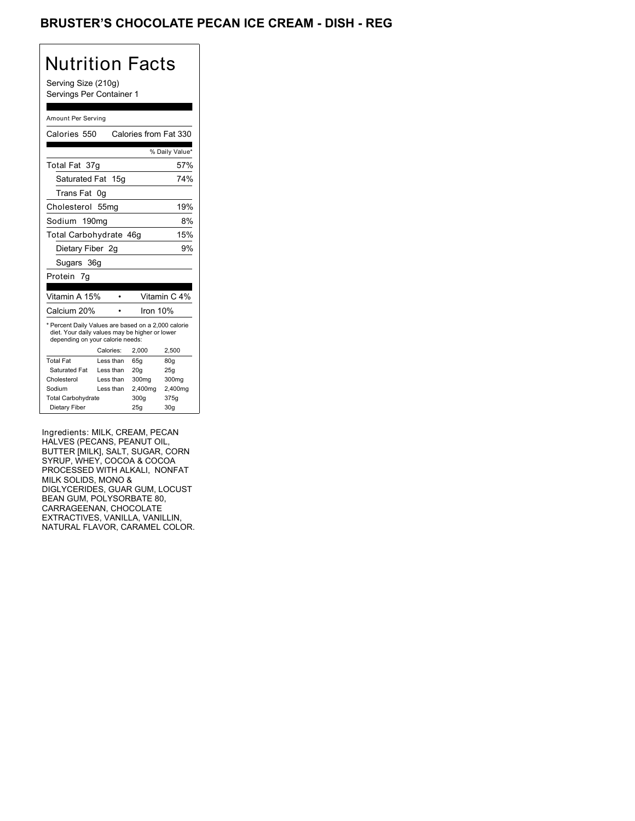## BRUSTER'S CHOCOLATE PECAN ICE CREAM - DISH - REG

## Nutrition Facts

Serving Size (210g) Servings Per Container 1

#### Amount Per Serving

| Calories 550                                                                                                                              |           | Calories from Fat 330 |                 |
|-------------------------------------------------------------------------------------------------------------------------------------------|-----------|-----------------------|-----------------|
|                                                                                                                                           |           |                       | % Daily Value*  |
| Total Fat 37g                                                                                                                             |           |                       | 57%             |
| Saturated Fat 15g                                                                                                                         |           |                       | 74%             |
| Trans Fat                                                                                                                                 | 0g        |                       |                 |
| Cholesterol 55mg                                                                                                                          |           |                       | 19%             |
| Sodium 190mg                                                                                                                              |           |                       | 8%              |
| Total Carbohydrate 46g                                                                                                                    |           |                       | 15%             |
| Dietary Fiber 2q                                                                                                                          |           |                       | 9%              |
| Sugars 36g                                                                                                                                |           |                       |                 |
| Protein 7q                                                                                                                                |           |                       |                 |
|                                                                                                                                           |           |                       |                 |
| Vitamin A 15%                                                                                                                             |           |                       | Vitamin C 4%    |
| Calcium 20%                                                                                                                               |           | Iron $10%$            |                 |
| * Percent Daily Values are based on a 2,000 calorie<br>diet. Your daily values may be higher or lower<br>depending on your calorie needs: |           |                       |                 |
|                                                                                                                                           | Calories: | 2.000                 | 2.500           |
| <b>Total Fat</b>                                                                                                                          | Less than | 65q                   | 80 <sub>g</sub> |
| Saturated Fat                                                                                                                             | Less than | 20q                   | 25q             |
| Cholesterol                                                                                                                               | Less than | 300mg                 | 300mg           |
| Sodium                                                                                                                                    | Less than | 2,400mg               | 2,400mg         |
| <b>Total Carbohydrate</b>                                                                                                                 |           | 300g                  | 375g            |
| Dietary Fiber                                                                                                                             |           | 25q                   | 30q             |

Ingredients: MILK, CREAM, PECAN HALVES (PECANS, PEANUT OIL, BUTTER [MILK], SALT, SUGAR, CORN SYRUP, WHEY, COCOA & COCOA PROCESSED WITH ALKALI, NONFAT MILK SOLIDS, MONO & DIGLYCERIDES, GUAR GUM, LOCUST BEAN GUM, POLYSORBATE 80, CARRAGEENAN, CHOCOLATE EXTRACTIVES, VANILLA, VANILLIN, NATURAL FLAVOR, CARAMEL COLOR.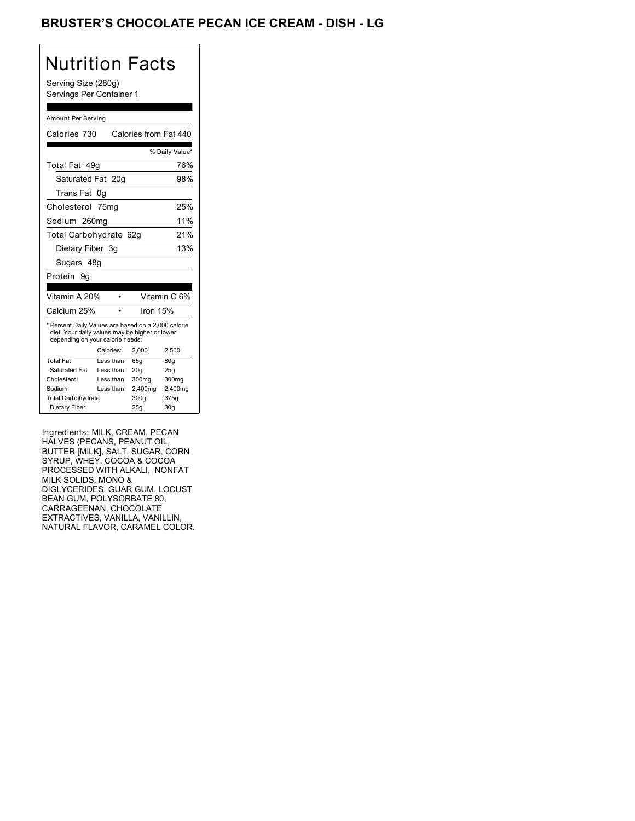## BRUSTER'S CHOCOLATE PECAN ICE CREAM - DISH - LG

# Nutrition Facts

Serving Size (280g) Servings Per Container 1

#### Amount Per Serving

| Calories 730                                                                                                                              |           |  | Calories from Fat 440 |                 |
|-------------------------------------------------------------------------------------------------------------------------------------------|-----------|--|-----------------------|-----------------|
|                                                                                                                                           |           |  |                       | % Daily Value*  |
| Total Fat 49q                                                                                                                             |           |  |                       | 76%             |
| Saturated Fat 20g                                                                                                                         |           |  |                       | 98%             |
| Trans Fat                                                                                                                                 | 0g        |  |                       |                 |
| Cholesterol 75mg                                                                                                                          |           |  |                       | 25%             |
| Sodium 260mg                                                                                                                              |           |  |                       | 11%             |
| Total Carbohydrate 62g                                                                                                                    |           |  |                       | 21%             |
| Dietary Fiber 3g                                                                                                                          |           |  |                       | 13%             |
| Sugars 48q                                                                                                                                |           |  |                       |                 |
| Protein 9q                                                                                                                                |           |  |                       |                 |
|                                                                                                                                           |           |  |                       |                 |
| Vitamin A 20%                                                                                                                             |           |  |                       | Vitamin C 6%    |
| Calcium 25%                                                                                                                               |           |  | Iron 15%              |                 |
| * Percent Daily Values are based on a 2,000 calorie<br>diet. Your daily values may be higher or lower<br>depending on your calorie needs: |           |  |                       |                 |
|                                                                                                                                           | Calories: |  | 2.000                 | 2,500           |
| Total Fat                                                                                                                                 | Less than |  | 65q                   | 80q             |
| Saturated Fat                                                                                                                             | Less than |  | 20q                   | 25g             |
| Cholesterol                                                                                                                               | Less than |  | 300 <sub>mq</sub>     | 300mg           |
| Sodium                                                                                                                                    | Less than |  | 2,400mg               | 2,400mg         |
| <b>Total Carbohydrate</b>                                                                                                                 |           |  | 300q                  | 375g            |
| Dietary Fiber                                                                                                                             |           |  | 25q                   | 30 <sub>g</sub> |

Ingredients: MILK, CREAM, PECAN HALVES (PECANS, PEANUT OIL, BUTTER [MILK], SALT, SUGAR, CORN SYRUP, WHEY, COCOA & COCOA PROCESSED WITH ALKALI, NONFAT MILK SOLIDS, MONO & DIGLYCERIDES, GUAR GUM, LOCUST BEAN GUM, POLYSORBATE 80, CARRAGEENAN, CHOCOLATE EXTRACTIVES, VANILLA, VANILLIN, NATURAL FLAVOR, CARAMEL COLOR.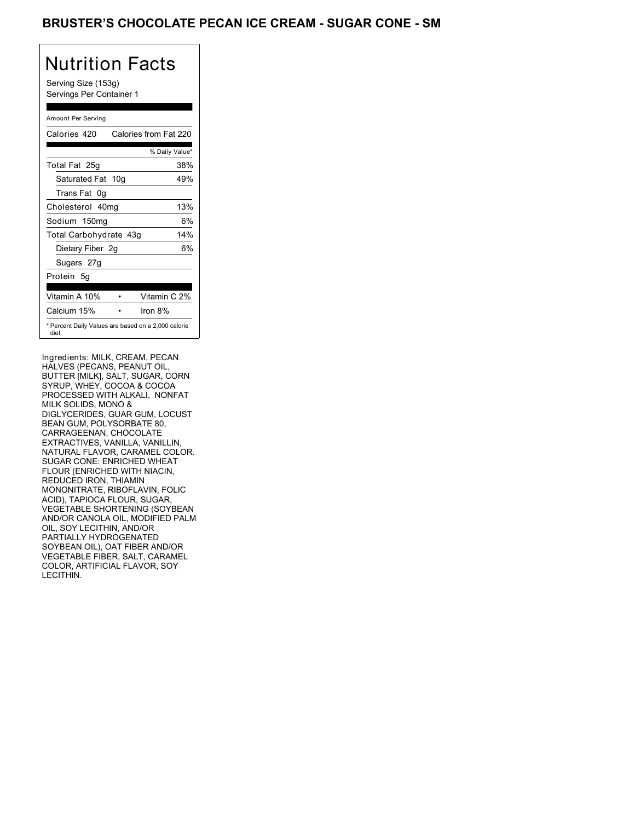### BRUSTER'S CHOCOLATE PECAN ICE CREAM - SUGAR CONE - SM

# Nutrition Facts

Serving Size (153g) Servings Per Container 1

### Amount Per Serving

| Calories 420           | Calories from Fat 220                               |
|------------------------|-----------------------------------------------------|
|                        | % Daily Value*                                      |
| Total Fat 25g          | 38%                                                 |
| Saturated Fat 10g      | 49%                                                 |
| Trans Fat 0q           |                                                     |
| Cholesterol 40mg       | 13%                                                 |
| Sodium 150mg           | 6%                                                  |
| Total Carbohydrate 43g | 14%                                                 |
| Dietary Fiber 2g       | 6%                                                  |
| Sugars 27g             |                                                     |
| Protein 5q             |                                                     |
| Vitamin A 10%          | Vitamin C 2%                                        |
| Calcium 15%            | Iron $8\%$                                          |
| diet.                  | * Percent Daily Values are based on a 2,000 calorie |

Ingredients: MILK, CREAM, PECAN HALVES (PECANS, PEANUT OIL, BUTTER [MILK], SALT, SUGAR, CORN SYRUP, WHEY, COCOA & COCOA PROCESSED WITH ALKALI, NONFAT MILK SOLIDS, MONO & DIGLYCERIDES, GUAR GUM, LOCUST BEAN GUM, POLYSORBATE 80, CARRAGEENAN, CHOCOLATE EXTRACTIVES, VANILLA, VANILLIN, NATURAL FLAVOR, CARAMEL COLOR. SUGAR CONE: ENRICHED WHEAT FLOUR (ENRICHED WITH NIACIN, REDUCED IRON, THIAMIN MONONITRATE, RIBOFLAVIN, FOLIC ACID), TAPIOCA FLOUR, SUGAR, VEGETABLE SHORTENING (SOYBEAN AND/OR CANOLA OIL, MODIFIED PALM OIL, SOY LECITHIN, AND/OR PARTIALLY HYDROGENATED SOYBEAN OIL), OAT FIBER AND/OR VEGETABLE FIBER, SALT, CARAMEL COLOR, ARTIFICIAL FLAVOR, SOY LECITHIN.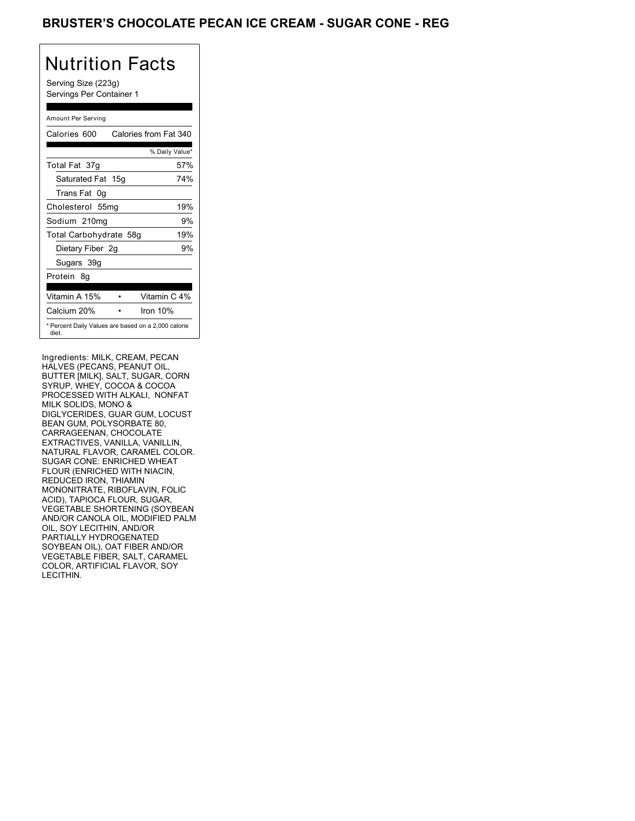### BRUSTER'S CHOCOLATE PECAN ICE CREAM - SUGAR CONE - REG

## Nutrition Facts

Serving Size (223g) Servings Per Container 1

### Amount Per Serving

| Calories 600           | Calories from Fat 340                               |
|------------------------|-----------------------------------------------------|
|                        | % Daily Value*                                      |
| Total Fat 37g          | 57%                                                 |
| Saturated Fat 15g      | 74%                                                 |
| Trans Fat 0q           |                                                     |
| Cholesterol 55mg       | 19%                                                 |
| Sodium 210mg           | 9%                                                  |
| Total Carbohydrate 58g | 19%                                                 |
| Dietary Fiber 2g       | 9%                                                  |
| Sugars 39g             |                                                     |
| Protein 8q             |                                                     |
|                        |                                                     |
| Vitamin A 15%          | Vitamin C 4%                                        |
| Calcium 20%            | Iron $10%$                                          |
| diet.                  | * Percent Daily Values are based on a 2,000 calorie |

Ingredients: MILK, CREAM, PECAN HALVES (PECANS, PEANUT OIL, BUTTER [MILK], SALT, SUGAR, CORN SYRUP, WHEY, COCOA & COCOA PROCESSED WITH ALKALI, NONFAT MILK SOLIDS, MONO & DIGLYCERIDES, GUAR GUM, LOCUST BEAN GUM, POLYSORBATE 80, CARRAGEENAN, CHOCOLATE EXTRACTIVES, VANILLA, VANILLIN, NATURAL FLAVOR, CARAMEL COLOR. SUGAR CONE: ENRICHED WHEAT FLOUR (ENRICHED WITH NIACIN, REDUCED IRON, THIAMIN MONONITRATE, RIBOFLAVIN, FOLIC ACID), TAPIOCA FLOUR, SUGAR, VEGETABLE SHORTENING (SOYBEAN AND/OR CANOLA OIL, MODIFIED PALM OIL, SOY LECITHIN, AND/OR PARTIALLY HYDROGENATED SOYBEAN OIL), OAT FIBER AND/OR VEGETABLE FIBER, SALT, CARAMEL COLOR, ARTIFICIAL FLAVOR, SOY LECITHIN.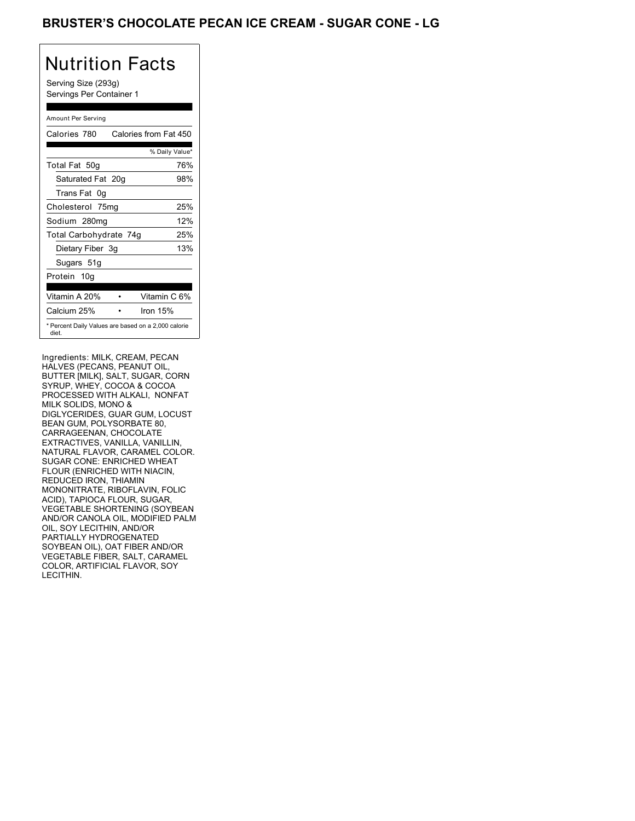## BRUSTER'S CHOCOLATE PECAN ICE CREAM - SUGAR CONE - LG

# Nutrition Facts

Serving Size (293g) Servings Per Container 1

### Amount Per Serving

| Calories 780           | Calories from Fat 450                               |
|------------------------|-----------------------------------------------------|
|                        | % Daily Value*                                      |
| Total Fat 50g          | 76%                                                 |
| Saturated Fat 20g      | 98%                                                 |
| Trans Fat 0q           |                                                     |
| Cholesterol 75mg       | 25%                                                 |
| Sodium 280mg           | 12%                                                 |
| Total Carbohydrate 74g | 25%                                                 |
| Dietary Fiber 3g       | 13%                                                 |
| Sugars 51g             |                                                     |
| Protein 10q            |                                                     |
|                        |                                                     |
| Vitamin A 20%          | Vitamin C 6%                                        |
| Calcium 25%            | Iron $15%$                                          |
| diet.                  | * Percent Daily Values are based on a 2,000 calorie |

Ingredients: MILK, CREAM, PECAN HALVES (PECANS, PEANUT OIL, BUTTER [MILK], SALT, SUGAR, CORN SYRUP, WHEY, COCOA & COCOA PROCESSED WITH ALKALI, NONFAT MILK SOLIDS, MONO & DIGLYCERIDES, GUAR GUM, LOCUST BEAN GUM, POLYSORBATE 80, CARRAGEENAN, CHOCOLATE EXTRACTIVES, VANILLA, VANILLIN, NATURAL FLAVOR, CARAMEL COLOR. SUGAR CONE: ENRICHED WHEAT FLOUR (ENRICHED WITH NIACIN, REDUCED IRON, THIAMIN MONONITRATE, RIBOFLAVIN, FOLIC ACID), TAPIOCA FLOUR, SUGAR, VEGETABLE SHORTENING (SOYBEAN AND/OR CANOLA OIL, MODIFIED PALM OIL, SOY LECITHIN, AND/OR PARTIALLY HYDROGENATED SOYBEAN OIL), OAT FIBER AND/OR VEGETABLE FIBER, SALT, CARAMEL COLOR, ARTIFICIAL FLAVOR, SOY LECITHIN.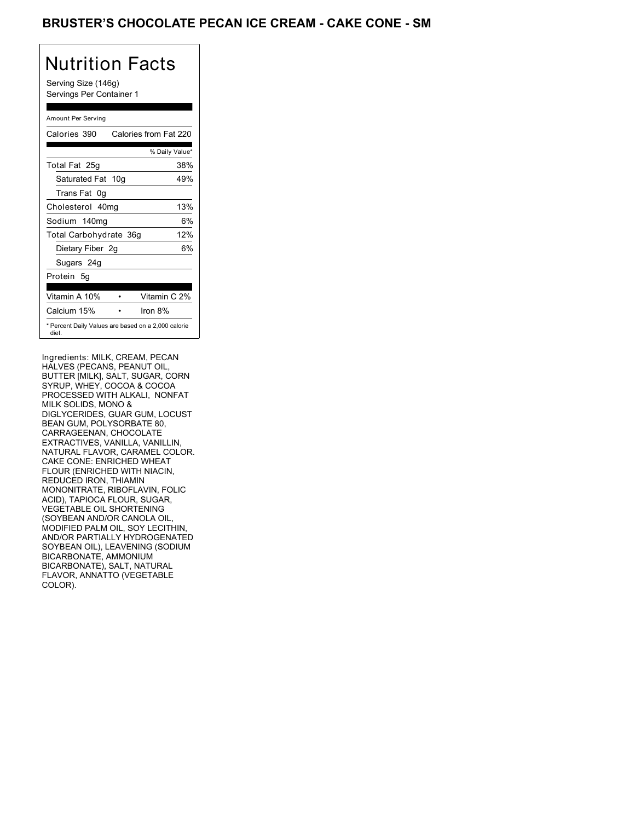## BRUSTER'S CHOCOLATE PECAN ICE CREAM - CAKE CONE - SM

# Nutrition Facts

Serving Size (146g) Servings Per Container 1

### Amount Per Serving

| Calories 390           | Calories from Fat 220                               |
|------------------------|-----------------------------------------------------|
|                        | % Daily Value*                                      |
| Total Fat 25g          | 38%                                                 |
| Saturated Fat 10g      | 49%                                                 |
| Trans Fat 0q           |                                                     |
| Cholesterol 40mg       | 13%                                                 |
| Sodium 140mg           | 6%                                                  |
| Total Carbohydrate 36g | 12%                                                 |
| Dietary Fiber 2g       | 6%                                                  |
| Sugars 24g             |                                                     |
| Protein 5q             |                                                     |
|                        | Vitamin C 2%                                        |
| Vitamin A 10%          |                                                     |
| Calcium 15%            | Iron $8%$                                           |
| diet.                  | * Percent Daily Values are based on a 2,000 calorie |

Ingredients: MILK, CREAM, PECAN HALVES (PECANS, PEANUT OIL, BUTTER [MILK], SALT, SUGAR, CORN SYRUP, WHEY, COCOA & COCOA PROCESSED WITH ALKALI, NONFAT MILK SOLIDS, MONO & DIGLYCERIDES, GUAR GUM, LOCUST BEAN GUM, POLYSORBATE 80, CARRAGEENAN, CHOCOLATE EXTRACTIVES, VANILLA, VANILLIN, NATURAL FLAVOR, CARAMEL COLOR. CAKE CONE: ENRICHED WHEAT FLOUR (ENRICHED WITH NIACIN, REDUCED IRON, THIAMIN MONONITRATE, RIBOFLAVIN, FOLIC ACID), TAPIOCA FLOUR, SUGAR, VEGETABLE OIL SHORTENING (SOYBEAN AND/OR CANOLA OIL, MODIFIED PALM OIL, SOY LECITHIN, AND/OR PARTIALLY HYDROGENATED SOYBEAN OIL), LEAVENING (SODIUM BICARBONATE, AMMONIUM BICARBONATE), SALT, NATURAL FLAVOR, ANNATTO (VEGETABLE COLOR).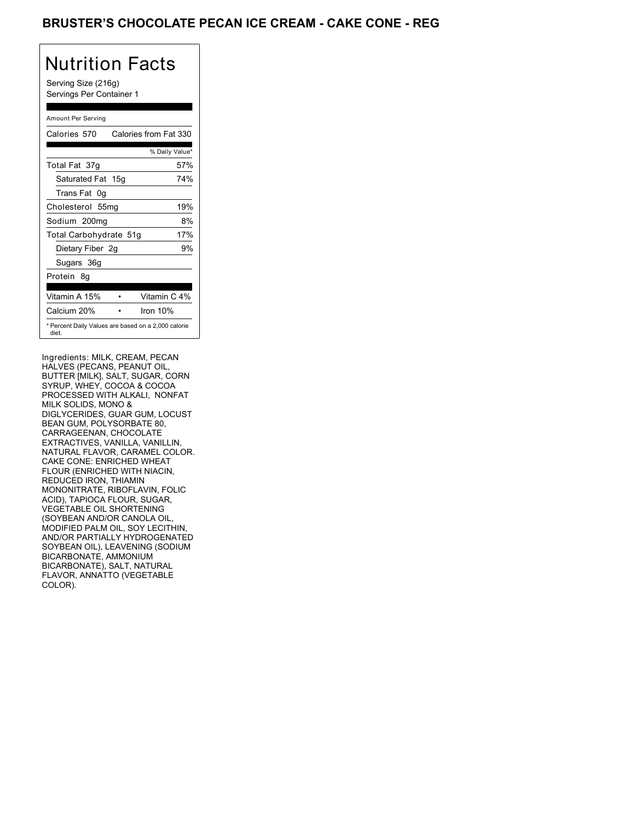## BRUSTER'S CHOCOLATE PECAN ICE CREAM - CAKE CONE - REG

# Nutrition Facts

Serving Size (216g) Servings Per Container 1

### Amount Per Serving

| Calories 570                                                 | Calories from Fat 330 |
|--------------------------------------------------------------|-----------------------|
|                                                              | % Daily Value*        |
| Total Fat 37g                                                | 57%                   |
| Saturated Fat 15g                                            | 74%                   |
| Trans Fat 0q                                                 |                       |
| Cholesterol 55mg                                             | 19%                   |
| Sodium 200mg                                                 | 8%                    |
| Total Carbohydrate 51g                                       | 17%                   |
| Dietary Fiber 2g                                             | 9%                    |
| Sugars 36g                                                   |                       |
| Protein 8q                                                   |                       |
| Vitamin A 15%                                                | Vitamin C 4%          |
| Calcium 20%                                                  | Iron $10%$            |
| * Percent Daily Values are based on a 2,000 calorie<br>diet. |                       |

Ingredients: MILK, CREAM, PECAN HALVES (PECANS, PEANUT OIL, BUTTER [MILK], SALT, SUGAR, CORN SYRUP, WHEY, COCOA & COCOA PROCESSED WITH ALKALI, NONFAT MILK SOLIDS, MONO & DIGLYCERIDES, GUAR GUM, LOCUST BEAN GUM, POLYSORBATE 80, CARRAGEENAN, CHOCOLATE EXTRACTIVES, VANILLA, VANILLIN, NATURAL FLAVOR, CARAMEL COLOR. CAKE CONE: ENRICHED WHEAT FLOUR (ENRICHED WITH NIACIN, REDUCED IRON, THIAMIN MONONITRATE, RIBOFLAVIN, FOLIC ACID), TAPIOCA FLOUR, SUGAR, VEGETABLE OIL SHORTENING (SOYBEAN AND/OR CANOLA OIL, MODIFIED PALM OIL, SOY LECITHIN, AND/OR PARTIALLY HYDROGENATED SOYBEAN OIL), LEAVENING (SODIUM BICARBONATE, AMMONIUM BICARBONATE), SALT, NATURAL FLAVOR, ANNATTO (VEGETABLE COLOR).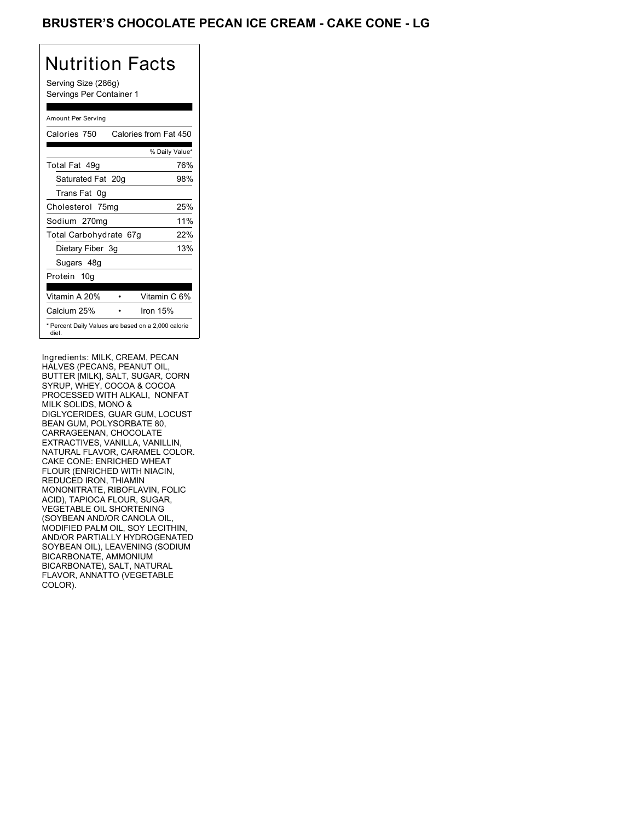## BRUSTER'S CHOCOLATE PECAN ICE CREAM - CAKE CONE - LG

## Nutrition Facts

Serving Size (286g) Servings Per Container 1

### Amount Per Serving

| Calories 750                                                 | Calories from Fat 450 |
|--------------------------------------------------------------|-----------------------|
|                                                              | % Daily Value*        |
| Total Fat 49q                                                | 76%                   |
| Saturated Fat 20g                                            | 98%                   |
| Trans Fat 0q                                                 |                       |
| Cholesterol 75mg                                             | 25%                   |
| Sodium 270mg                                                 | 11%                   |
| Total Carbohydrate 67g                                       | 22%                   |
| Dietary Fiber 3g                                             | 13%                   |
| Sugars 48g                                                   |                       |
| Protein 10g                                                  |                       |
| Vitamin A 20%                                                | Vitamin C 6%          |
| Calcium 25%                                                  | Iron $15%$            |
| * Percent Daily Values are based on a 2,000 calorie<br>diet. |                       |

Ingredients: MILK, CREAM, PECAN HALVES (PECANS, PEANUT OIL, BUTTER [MILK], SALT, SUGAR, CORN SYRUP, WHEY, COCOA & COCOA PROCESSED WITH ALKALI, NONFAT MILK SOLIDS, MONO & DIGLYCERIDES, GUAR GUM, LOCUST BEAN GUM, POLYSORBATE 80, CARRAGEENAN, CHOCOLATE EXTRACTIVES, VANILLA, VANILLIN, NATURAL FLAVOR, CARAMEL COLOR. CAKE CONE: ENRICHED WHEAT FLOUR (ENRICHED WITH NIACIN, REDUCED IRON, THIAMIN MONONITRATE, RIBOFLAVIN, FOLIC ACID), TAPIOCA FLOUR, SUGAR, VEGETABLE OIL SHORTENING (SOYBEAN AND/OR CANOLA OIL, MODIFIED PALM OIL, SOY LECITHIN, AND/OR PARTIALLY HYDROGENATED SOYBEAN OIL), LEAVENING (SODIUM BICARBONATE, AMMONIUM BICARBONATE), SALT, NATURAL FLAVOR, ANNATTO (VEGETABLE COLOR).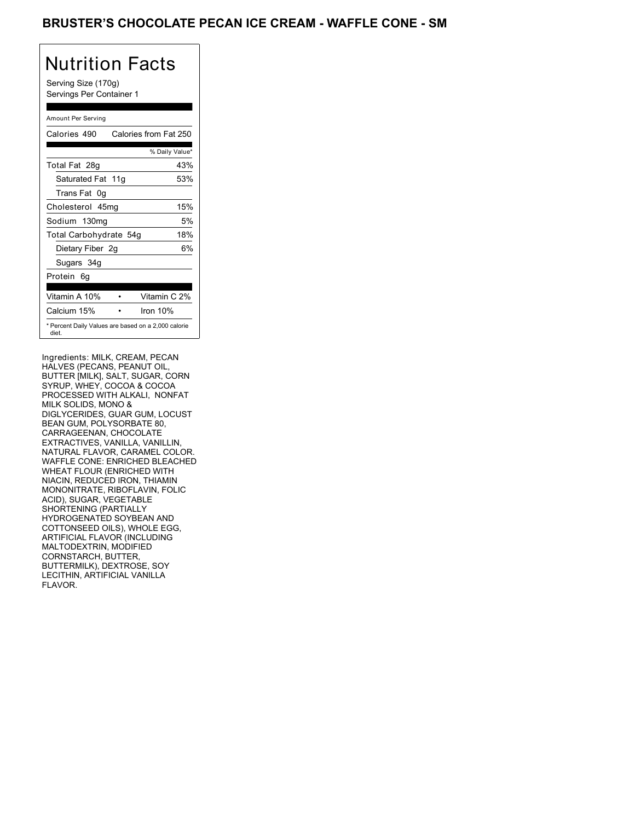### BRUSTER'S CHOCOLATE PECAN ICE CREAM - WAFFLE CONE - SM

## Nutrition Facts

Serving Size (170g) Servings Per Container 1

### Amount Per Serving

| Calories 490                                                 | Calories from Fat 250 |
|--------------------------------------------------------------|-----------------------|
|                                                              | % Daily Value*        |
| Total Fat 28g                                                | 43%                   |
| Saturated Fat 11g                                            | 53%                   |
| Trans Fat 0q                                                 |                       |
| Cholesterol 45mg                                             | 15%                   |
| Sodium 130mg                                                 | 5%                    |
| Total Carbohydrate 54g                                       | 18%                   |
| Dietary Fiber 2g                                             | 6%                    |
| Sugars 34g                                                   |                       |
| Protein 6q                                                   |                       |
| Vitamin A 10%                                                | Vitamin C 2%          |
| Calcium 15%                                                  | Iron $10%$            |
| * Percent Daily Values are based on a 2,000 calorie<br>diet. |                       |

Ingredients: MILK, CREAM, PECAN HALVES (PECANS, PEANUT OIL, BUTTER [MILK], SALT, SUGAR, CORN SYRUP, WHEY, COCOA & COCOA PROCESSED WITH ALKALI, NONFAT MILK SOLIDS, MONO & DIGLYCERIDES, GUAR GUM, LOCUST BEAN GUM, POLYSORBATE 80, CARRAGEENAN, CHOCOLATE EXTRACTIVES, VANILLA, VANILLIN, NATURAL FLAVOR, CARAMEL COLOR. WAFFLE CONE: ENRICHED BLEACHED WHEAT FLOUR (ENRICHED WITH NIACIN, REDUCED IRON, THIAMIN MONONITRATE, RIBOFLAVIN, FOLIC ACID), SUGAR, VEGETABLE SHORTENING (PARTIALLY HYDROGENATED SOYBEAN AND COTTONSEED OILS), WHOLE EGG, ARTIFICIAL FLAVOR (INCLUDING MALTODEXTRIN, MODIFIED CORNSTARCH, BUTTER, BUTTERMILK), DEXTROSE, SOY LECITHIN, ARTIFICIAL VANILLA FLAVOR.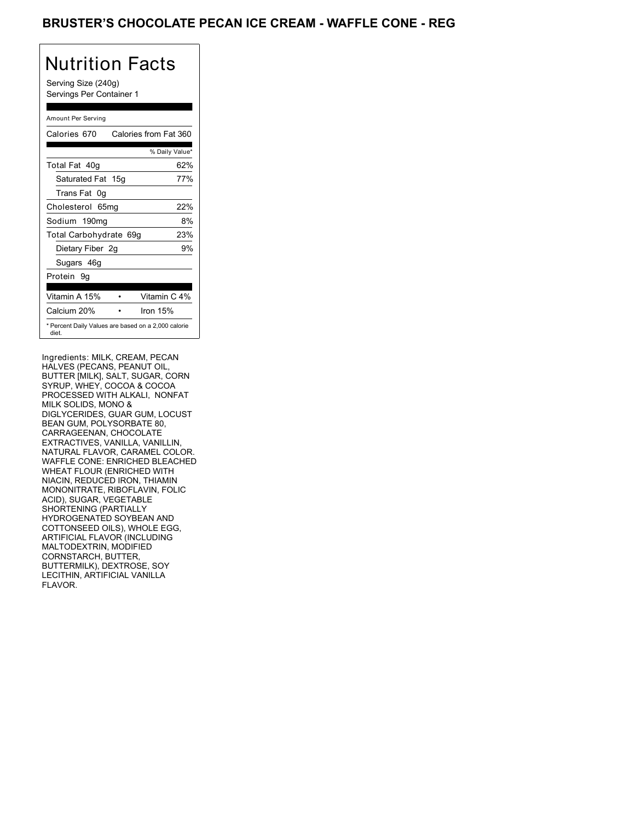## BRUSTER'S CHOCOLATE PECAN ICE CREAM - WAFFLE CONE - REG

## Nutrition Facts

Serving Size (240g) Servings Per Container 1

### Amount Per Serving

| Calories 670           | Calories from Fat 360                               |
|------------------------|-----------------------------------------------------|
|                        | % Daily Value*                                      |
| Total Fat 40g          | 62%                                                 |
| Saturated Fat 15g      | 77%                                                 |
| Trans Fat 0q           |                                                     |
| Cholesterol 65mg       | 22%                                                 |
| Sodium 190mg           | 8%                                                  |
| Total Carbohydrate 69g | 23%                                                 |
| Dietary Fiber 2g       | 9%                                                  |
| Sugars 46g             |                                                     |
| Protein 9q             |                                                     |
| Vitamin A 15%          | Vitamin C 4%                                        |
| Calcium 20%            | Iron $15%$                                          |
| diet.                  | * Percent Daily Values are based on a 2,000 calorie |

Ingredients: MILK, CREAM, PECAN HALVES (PECANS, PEANUT OIL, BUTTER [MILK], SALT, SUGAR, CORN SYRUP, WHEY, COCOA & COCOA PROCESSED WITH ALKALI, NONFAT MILK SOLIDS, MONO & DIGLYCERIDES, GUAR GUM, LOCUST BEAN GUM, POLYSORBATE 80, CARRAGEENAN, CHOCOLATE EXTRACTIVES, VANILLA, VANILLIN, NATURAL FLAVOR, CARAMEL COLOR. WAFFLE CONE: ENRICHED BLEACHED WHEAT FLOUR (ENRICHED WITH NIACIN, REDUCED IRON, THIAMIN MONONITRATE, RIBOFLAVIN, FOLIC ACID), SUGAR, VEGETABLE SHORTENING (PARTIALLY HYDROGENATED SOYBEAN AND COTTONSEED OILS), WHOLE EGG, ARTIFICIAL FLAVOR (INCLUDING MALTODEXTRIN, MODIFIED CORNSTARCH, BUTTER, BUTTERMILK), DEXTROSE, SOY LECITHIN, ARTIFICIAL VANILLA FLAVOR.